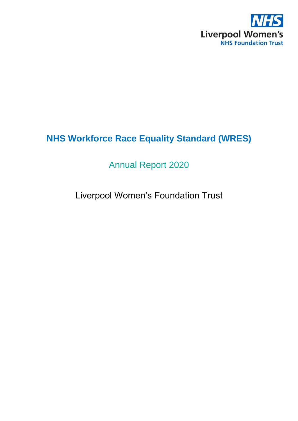

# **NHS Workforce Race Equality Standard (WRES)**

## Annual Report 2020

## Liverpool Women's Foundation Trust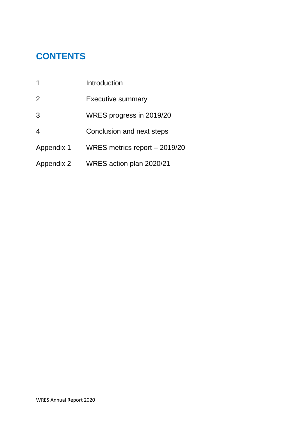## **CONTENTS**

| 1              | Introduction                  |
|----------------|-------------------------------|
| 2              | <b>Executive summary</b>      |
| 3              | WRES progress in 2019/20      |
| $\overline{4}$ | Conclusion and next steps     |
| Appendix 1     | WRES metrics report – 2019/20 |
| Appendix 2     | WRES action plan 2020/21      |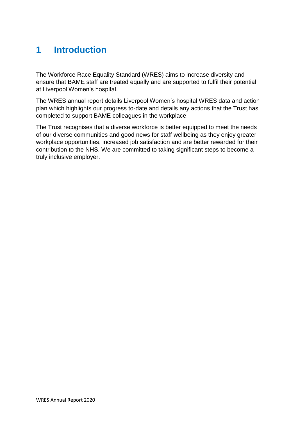## **1 Introduction**

The Workforce Race Equality Standard (WRES) aims to increase diversity and ensure that BAME staff are treated equally and are supported to fulfil their potential at Liverpool Women's hospital.

The WRES annual report details Liverpool Women's hospital WRES data and action plan which highlights our progress to-date and details any actions that the Trust has completed to support BAME colleagues in the workplace.

The Trust recognises that a diverse workforce is better equipped to meet the needs of our diverse communities and good news for staff wellbeing as they enjoy greater workplace opportunities, increased job satisfaction and are better rewarded for their contribution to the NHS. We are committed to taking significant steps to become a truly inclusive employer.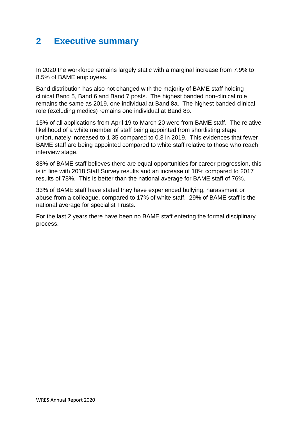## **2 Executive summary**

In 2020 the workforce remains largely static with a marginal increase from 7.9% to 8.5% of BAME employees.

Band distribution has also not changed with the majority of BAME staff holding clinical Band 5, Band 6 and Band 7 posts. The highest banded non-clinical role remains the same as 2019, one individual at Band 8a. The highest banded clinical role (excluding medics) remains one individual at Band 8b.

15% of all applications from April 19 to March 20 were from BAME staff. The relative likelihood of a white member of staff being appointed from shortlisting stage unfortunately increased to 1.35 compared to 0.8 in 2019. This evidences that fewer BAME staff are being appointed compared to white staff relative to those who reach interview stage.

88% of BAME staff believes there are equal opportunities for career progression, this is in line with 2018 Staff Survey results and an increase of 10% compared to 2017 results of 78%. This is better than the national average for BAME staff of 76%.

33% of BAME staff have stated they have experienced bullying, harassment or abuse from a colleague, compared to 17% of white staff. 29% of BAME staff is the national average for specialist Trusts.

For the last 2 years there have been no BAME staff entering the formal disciplinary process.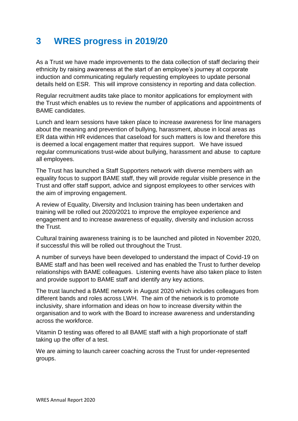## **3 WRES progress in 2019/20**

As a Trust we have made improvements to the data collection of staff declaring their ethnicity by raising awareness at the start of an employee's journey at corporate induction and communicating regularly requesting employees to update personal details held on ESR. This will improve consistency in reporting and data collection.

Regular recruitment audits take place to monitor applications for employment with the Trust which enables us to review the number of applications and appointments of BAME candidates.

Lunch and learn sessions have taken place to increase awareness for line managers about the meaning and prevention of bullying, harassment, abuse in local areas as ER data within HR evidences that caseload for such matters is low and therefore this is deemed a local engagement matter that requires support. We have issued regular communications trust-wide about bullying, harassment and abuse to capture all employees.

The Trust has launched a Staff Supporters network with diverse members with an equality focus to support BAME staff, they will provide regular visible presence in the Trust and offer staff support, advice and signpost employees to other services with the aim of improving engagement.

A review of Equality, Diversity and Inclusion training has been undertaken and training will be rolled out 2020/2021 to improve the employee experience and engagement and to increase awareness of equality, diversity and inclusion across the Trust.

Cultural training awareness training is to be launched and piloted in November 2020, if successful this will be rolled out throughout the Trust.

A number of surveys have been developed to understand the impact of Covid-19 on BAME staff and has been well received and has enabled the Trust to further develop relationships with BAME colleagues. Listening events have also taken place to listen and provide support to BAME staff and identify any key actions.

The trust launched a BAME network in August 2020 which includes colleagues from different bands and roles across LWH. The aim of the network is to promote inclusivity, share information and ideas on how to increase diversity within the organisation and to work with the Board to increase awareness and understanding across the workforce.

Vitamin D testing was offered to all BAME staff with a high proportionate of staff taking up the offer of a test.

We are aiming to launch career coaching across the Trust for under-represented groups.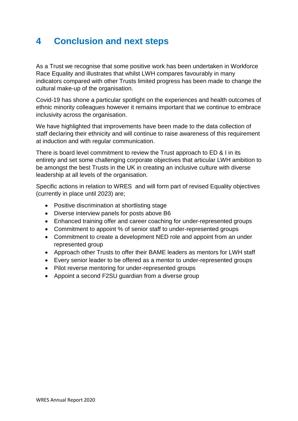## **4 Conclusion and next steps**

As a Trust we recognise that some positive work has been undertaken in Workforce Race Equality and illustrates that whilst LWH compares favourably in many indicators compared with other Trusts limited progress has been made to change the cultural make-up of the organisation.

Covid-19 has shone a particular spotlight on the experiences and health outcomes of ethnic minority colleagues however it remains important that we continue to embrace inclusivity across the organisation.

We have highlighted that improvements have been made to the data collection of staff declaring their ethnicity and will continue to raise awareness of this requirement at induction and with regular communication.

There is board level commitment to review the Trust approach to ED & I in its entirety and set some challenging corporate objectives that articular LWH ambition to be amongst the best Trusts in the UK in creating an inclusive culture with diverse leadership at all levels of the organisation.

Specific actions in relation to WRES and will form part of revised Equality objectives (currently in place until 2023) are;

- Positive discrimination at shortlisting stage
- Diverse interview panels for posts above B6
- Enhanced training offer and career coaching for under-represented groups
- Commitment to appoint % of senior staff to under-represented groups
- Commitment to create a development NED role and appoint from an under represented group
- Approach other Trusts to offer their BAME leaders as mentors for LWH staff
- Every senior leader to be offered as a mentor to under-represented groups
- Pilot reverse mentoring for under-represented groups
- Appoint a second F2SU guardian from a diverse group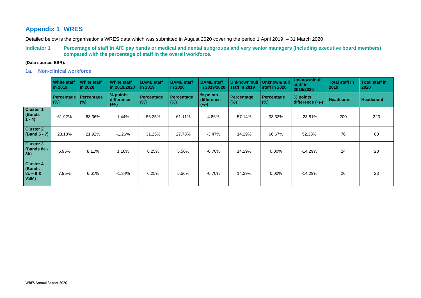## **Appendix 1 WRES**

Detailed below is the organisation's WRES data which was submitted in August 2020 covering the period 1 April 2019 – 31 March 2020

### **Indicator 1 Percentage of staff in AfC pay bands or medical and dental subgroups and very senior managers (including executive board members) compared with the percentage of staff in the overall workforce.**

### **(Data source: ESR).**

**1a. Non-clinical workforce**

|                                                   | <b>White staff</b><br>in 2019 | <b>White staff</b><br>in 2020 | <b>White staff</b><br>in 2019/2020 | <b>BAME</b> staff<br>in 2019 | <b>BAME</b> staff<br>in 2020 | <b>BAME</b> staff<br>in 2019/2020 | <b>Unknown/null</b><br>staff in 2019 | Unknown/null<br>staff in 2020 | <b>Unknown/null</b><br>staff in<br>2019/2020 | <b>Total staff in</b><br>2019 | <b>Total staff in</b><br>2020 |
|---------------------------------------------------|-------------------------------|-------------------------------|------------------------------------|------------------------------|------------------------------|-----------------------------------|--------------------------------------|-------------------------------|----------------------------------------------|-------------------------------|-------------------------------|
|                                                   | <b>Percentage</b><br>$(\%)$   | <b>Percentage</b><br>(%)      | % points<br>difference<br>$(+/-)$  | Percentage<br>(% )           | Percentage<br>(% )           | % points<br>difference<br>$(+/-)$ | Percentage<br>(%)                    | <b>Percentage</b><br>(%)      | % points<br>difference $(+/-)$               | <b>Headcount</b>              | <b>Headcount</b>              |
| <b>Cluster 1</b><br>(Bands)<br>$1 - 4$            | 61.92%                        | 63.36%                        | 1.44%                              | 56.25%                       | 61.11%                       | 4.86%                             | 57.14%                               | 33.33%                        | $-23.81%$                                    | 200                           | 223                           |
| <b>Cluster 2</b><br>(Band 5 - 7)                  | 23.18%                        | 21.92%                        | $-1.26%$                           | 31.25%                       | 27.78%                       | $-3.47%$                          | 14.29%                               | 66.67%                        | 52.38%                                       | 76                            | 80                            |
| <b>Cluster 3</b><br>(Bands 8a -<br>8 <sub>b</sub> | 6.95%                         | 8.11%                         | 1.16%                              | 6.25%                        | 5.56%                        | $-0.70\%$                         | 14.29%                               | $0.00\%$                      | $-14.29%$                                    | 24                            | 28                            |
| <b>Cluster 4</b><br>(Bands<br>$8c - 9 &$<br>VSM)  | 7.95%                         | 6.61%                         | $-1.34%$                           | 6.25%                        | 5.56%                        | $-0.70%$                          | 14.29%                               | $0.00\%$                      | $-14.29%$                                    | 26                            | 23                            |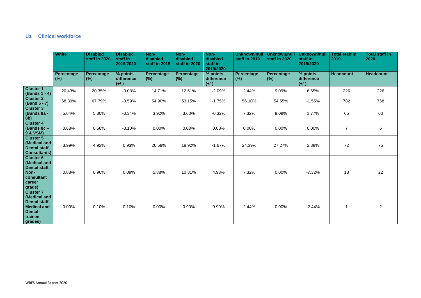### **1b. Clinical workforce**

|                                                                                                                | <b>White</b>       | <b>Disabled</b><br>staff in 2020 | <b>Disabled</b><br>staff in<br>2019/2020 | Non-<br>disabled<br>staff in 2019 | Non-<br>disabled<br>staff in 2020 | Non-<br>disabled<br>staff in<br>2019/2020 | <b>Unknown/null</b><br>staff in 2019 | <b>Unknown/nul</b><br>staff in 2020 | <b>Unknown/null</b><br>staff in<br>2019/2020 | <b>Total staff in</b><br>2019 | <b>Total staff in</b><br>2020 |
|----------------------------------------------------------------------------------------------------------------|--------------------|----------------------------------|------------------------------------------|-----------------------------------|-----------------------------------|-------------------------------------------|--------------------------------------|-------------------------------------|----------------------------------------------|-------------------------------|-------------------------------|
|                                                                                                                | Percentage<br>(% ) | <b>Percentage</b><br>(% )        | % points<br>difference<br>$(+/-)$        | Percentage<br>(% )                | Percentage<br>$(\%)$              | % points<br>difference<br>$(+/-)$         | Percentage<br>(% )                   | <b>Percentage</b><br>(%)            | % points<br>difference<br>$(+/-)$            | <b>Headcount</b>              | <b>Headcount</b>              |
| <b>Cluster 1</b><br>(Bands 1 - 4)                                                                              | 20.43%             | 20.35%                           | $-0.08%$                                 | 14.71%                            | 12.61%                            | $-2.09%$                                  | 2.44%                                | 9.09%                               | 6.65%                                        | 226                           | 226                           |
| <b>Cluster 2</b><br>(Band 5 - 7)                                                                               | 68.39%             | 67.79%                           | $-0.59%$                                 | 54.90%                            | 53.15%                            | $-1.75%$                                  | 56.10%                               | 54.55%                              | $-1.55%$                                     | 782                           | 768                           |
| <b>Cluster 3</b><br>(Bands 8a -<br>8b)                                                                         | 5.64%              | 5.30%                            | $-0.34%$                                 | 3.92%                             | 3.60%                             | $-0.32%$                                  | 7.32%                                | 9.09%                               | 1.77%                                        | 65                            | 60                            |
| <b>Cluster 4</b><br>(Bands 8c -<br>9 & VSM)                                                                    | 0.68%              | 0.58%                            | $-0.10%$                                 | 0.00%                             | 0.00%                             | 0.00%                                     | 0.00%                                | 0.00%                               | 0.00%                                        | $\overline{7}$                | $6\phantom{1}$                |
| <b>Cluster 5</b><br>(Medical and<br>Dental staff,<br><b>Consultants)</b>                                       | 3.99%              | 4.92%                            | 0.93%                                    | 20.59%                            | 18.92%                            | $-1.67%$                                  | 24.39%                               | 27.27%                              | 2.88%                                        | 72                            | 75                            |
| <b>Cluster 6</b><br>(Medical and<br>Dental staff,<br>Non-<br>consultant<br>career<br>grade)                    | 0.88%              | 0.96%                            | 0.09%                                    | 5.88%                             | 10.81%                            | 4.93%                                     | 7.32%                                | 0.00%                               | $-7.32%$                                     | 18                            | 22                            |
| <b>Cluster 7</b><br>(Medical and<br>Dental staff,<br><b>Medical and</b><br><b>Dental</b><br>trainee<br>grades) | 0.00%              | 0.10%                            | 0.10%                                    | 0.00%                             | 0.90%                             | 0.90%                                     | 2.44%                                | 0.00%                               | $-2.44%$                                     | 1                             | $\overline{2}$                |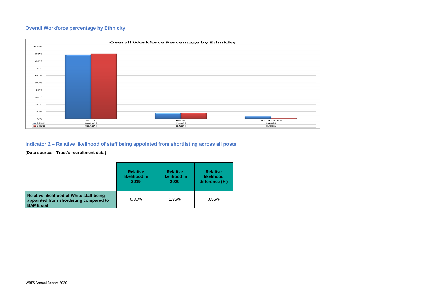## **Overall Workforce percentage by Ethnicity**



## **Indicator 2 – Relative likelihood of staff being appointed from shortlisting across all posts**

### **(Data source: Trust's recruitment data)**

|                                                                                                          | <b>Relative</b> | <b>Relative</b> | <b>Relative</b>   |
|----------------------------------------------------------------------------------------------------------|-----------------|-----------------|-------------------|
|                                                                                                          | likelihood in   | likelihood in   | likelihood        |
|                                                                                                          | 2019            | 2020            | difference $(+-)$ |
| Relative likelihood of White staff being<br>appointed from shortlisting compared to<br><b>BAME</b> staff | 0.80%           | 1.35%           | 0.55%             |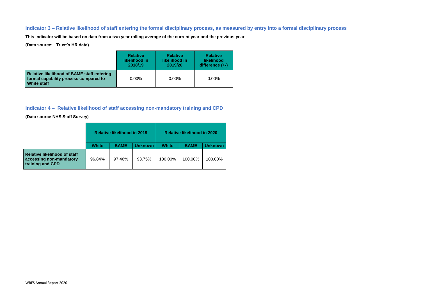### **Indicator 3 – Relative likelihood of staff entering the formal disciplinary process, as measured by entry into a formal disciplinary process**

**This indicator will be based on data from a two year rolling average of the current year and the previous year**

**(Data source: Trust's HR data)**

|                                                                                                                  | <b>Relative</b> | <b>Relative</b> | <b>Relative</b>   |
|------------------------------------------------------------------------------------------------------------------|-----------------|-----------------|-------------------|
|                                                                                                                  | likelihood in   | likelihood in   | <b>likelihood</b> |
|                                                                                                                  | 2018/19         | 2019/20         | difference $(+)$  |
| <b>Relative likelihood of BAME staff entering</b><br>formal capability process compared to<br><b>White staff</b> | $0.00\%$        | $0.00\%$        | 0.00%             |

### **Indicator 4 – Relative likelihood of staff accessing non-mandatory training and CPD**

**(Data source NHS Staff Survey)**

|                                                                             | <b>Relative likelihood in 2019</b> |             |                | <b>Relative likelihood in 2020</b> |             |                |  |
|-----------------------------------------------------------------------------|------------------------------------|-------------|----------------|------------------------------------|-------------|----------------|--|
|                                                                             | <b>White</b>                       | <b>BAME</b> | <b>Unknown</b> | <b>White</b>                       | <b>BAME</b> | <b>Jnknown</b> |  |
| Relative likelihood of staff<br>accessing non-mandatory<br>training and CPD | 96.84%                             | 97.46%      | 93.75%         | 100.00%                            | 100.00%     | 100.00%        |  |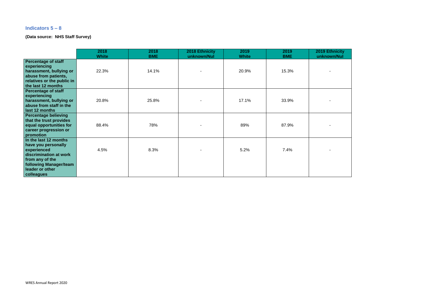### **Indicators 5 – 8**

**(Data source: NHS Staff Survey)**

|                                                                                                                                                                     | 2018<br><b>White</b> | 2018<br><b>BME</b> | 2018 Ethnicity<br>unknown/Nul | 2019<br><b>White</b> | 2019<br><b>BME</b> | 2019 Ethnicity<br>unknown/Nul |
|---------------------------------------------------------------------------------------------------------------------------------------------------------------------|----------------------|--------------------|-------------------------------|----------------------|--------------------|-------------------------------|
| <b>Percentage of staff</b><br>experiencing<br>harassment, bullying or<br>abuse from patients,<br>relatives or the public in<br>the last 12 months                   | 22.3%                | 14.1%              | $\blacksquare$                | 20.9%                | 15.3%              |                               |
| <b>Percentage of staff</b><br>experiencing<br>harassment, bullying or<br>abuse from staff in the<br>last 12 months                                                  | 20.8%                | 25.8%              | -                             | 17.1%                | 33.9%              |                               |
| <b>Percentage believing</b><br>that the trust provides<br>equal opportunities for<br>career progression or<br>promotion                                             | 88.4%                | 78%                | -                             | 89%                  | 87.9%              |                               |
| In the last 12 months<br>have you personally<br>experienced<br>discrimination at work<br>from any of the<br>following Manager/team<br>leader or other<br>colleagues | 4.5%                 | 8.3%               |                               | 5.2%                 | 7.4%               |                               |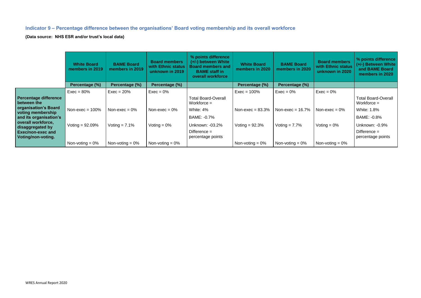## **Indicator 9 – Percentage difference between the organisations' Board voting membership and its overall workforce**

**(Data source: NHS ESR and/or trust's local data)**

|                                                | <b>White Board</b><br>members in 2019 | <b>BAME Board</b><br>members in 2019 | <b>Board members</b><br>with Ethnic status<br>unknown in 2019 | % points difference<br>(+/-) between White<br><b>Board members and</b><br><b>BAME</b> staff in<br>overall workforce | <b>White Board</b><br>members in 2020 | <b>BAME Board</b><br>members in 2020 | <b>Board members</b><br>with Ethnic status<br>unknown in 2020 | % points difference<br>(+/-) Between White<br>and BAME Board<br>members in 2020 |
|------------------------------------------------|---------------------------------------|--------------------------------------|---------------------------------------------------------------|---------------------------------------------------------------------------------------------------------------------|---------------------------------------|--------------------------------------|---------------------------------------------------------------|---------------------------------------------------------------------------------|
|                                                | Percentage (%)                        | Percentage (%)                       | Percentage (%)                                                |                                                                                                                     | Percentage (%)                        | Percentage (%)                       |                                                               |                                                                                 |
|                                                | $Exec = 80%$                          | $Exec = 20%$                         | $Exec = 0\%$                                                  |                                                                                                                     | $Exec = 100%$                         | $Exec = 0\%$                         | $Exec = 0\%$                                                  |                                                                                 |
| <b>Percentage difference</b><br>between the    |                                       |                                      |                                                               | <b>Total Board-Overall</b><br>Workforce $=$                                                                         |                                       |                                      |                                                               | <b>Total Board-Overall</b><br>Workforce $=$                                     |
| organisation's Board<br>voting membership      | Non-exec = $100\%$                    | Non-exec = $0\%$                     | Non-exec = $0\%$                                              | White: 4%                                                                                                           | Non-exec = $83.3\%$                   | Non-exec = $16.7\%$                  | Non-exec = $0\%$                                              | <b>White: 1.8%</b>                                                              |
| and its organisation's                         |                                       |                                      |                                                               | BAME: -0.7%                                                                                                         |                                       |                                      |                                                               | BAME: -0.8%                                                                     |
| overall workforce,<br>disaggregated by         | Voting $= 92.09\%$                    | Voting $= 7.1\%$                     | Voting $= 0\%$                                                | Unknown: -03.2%                                                                                                     | Voting $= 92.3\%$                     | Voting $= 7.7\%$                     | Voting $= 0\%$                                                | Unknown: -0.9%                                                                  |
| <b>Exec/non-exec and</b><br>Voting/non-voting. |                                       |                                      |                                                               | Difference $=$<br>percentage points                                                                                 |                                       |                                      |                                                               | Difference $=$<br>percentage points                                             |
|                                                | Non-voting $= 0\%$                    | Non-voting $= 0\%$                   | Non-voting $= 0\%$                                            |                                                                                                                     | Non-voting $= 0\%$                    | Non-voting $= 0\%$                   | Non-voting $= 0\%$                                            |                                                                                 |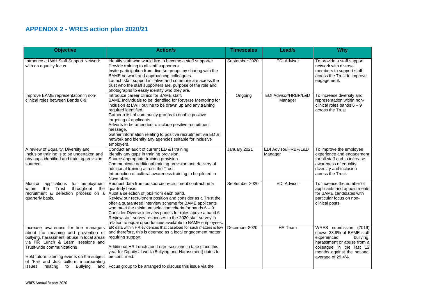# **APPENDIX 2 - WRES action plan 2020/21**

| <b>Objective</b>                                                                                                                                                                                                                                                                                                         | <b>Action/s</b>                                                                                                                                                                                                                                                                                                                                                                                                                                                                                            | <b>Timescales</b> | <b>Lead/s</b>                   | <b>Why</b>                                                                                                                                                                                    |
|--------------------------------------------------------------------------------------------------------------------------------------------------------------------------------------------------------------------------------------------------------------------------------------------------------------------------|------------------------------------------------------------------------------------------------------------------------------------------------------------------------------------------------------------------------------------------------------------------------------------------------------------------------------------------------------------------------------------------------------------------------------------------------------------------------------------------------------------|-------------------|---------------------------------|-----------------------------------------------------------------------------------------------------------------------------------------------------------------------------------------------|
| Introduce a LWH Staff Support Network<br>with an equality focus.                                                                                                                                                                                                                                                         | Identify staff who would like to become a staff supporter<br>Provide training to all staff supporters<br>Invite participation from diverse groups by sharing with the<br>BAME network and approaching colleagues.<br>Launch staff support initiative and communicate across the<br>trust who the staff supporters are, purpose of the role and<br>photographs to easily identify who they are.                                                                                                             | September 2020    | <b>EDI Advisor</b>              | To provide a staff support<br>network with diverse<br>members to support staff<br>across the Trust to improve<br>engagement.                                                                  |
| Improve BAME representation in non-<br>clinical roles between Bands 6-9                                                                                                                                                                                                                                                  | Introduce career clinics for BAME staff.<br>BAME Individuals to be identified for Reverse Mentoring for<br>inclusion at LWH outline to be drawn up and any training<br>required identified.<br>Gather a list of community groups to enable positive<br>targeting of applicants.<br>Adverts to be amended to include positive recruitment<br>message.<br>Gather information relating to positive recruitment via ED & I<br>network and identify any agencies suitable for inclusive<br>employers.           | Ongoing           | EDI Advisor/HRBP/L&D<br>Manager | To increase diversity and<br>representation within non-<br>clinical roles bands $6 - 9$<br>across the Trust                                                                                   |
| A review of Equality, Diversity and<br>Inclusion training is to be undertaken and<br>any gaps identified and training provision<br>sourced.                                                                                                                                                                              | Conduct an audit of current ED & I training<br>Identify any gaps in training provision.<br>Source appropriate training provision<br>Communicate additional training provision and delivery of<br>additional training across the Trust<br>Introduction of cultural awareness training to be piloted in<br>November.                                                                                                                                                                                         | January 2021      | EDI Advisor/HRBP/L&D<br>Manager | To improve the employee<br>experience and engagement<br>for all staff and to increase<br>awareness of equality,<br>diversity and inclusion<br>across the Trust.                               |
| Monitor<br>applications<br>employment<br>for<br>Trust<br>throughout<br>within<br>the<br>the<br>recruitment &<br>selection process on a<br>quarterly basis.                                                                                                                                                               | Request data from outsourced recruitment contract on a<br>quarterly basis<br>Audit a selection of jobs from each band.<br>Review our recruitment position and consider as a Trust the<br>offer a guaranteed interview scheme for BAME applicants<br>who meet the minimum selection criteria for bands $6 - 9$ .<br>Consider Diverse interview panels for roles above a band 6<br>Review staff survey responses to the 2020 staff survey in<br>relation to equal opportunities available to BAME employees. | September 2020    | <b>EDI Advisor</b>              | To increase the number of<br>applicants and appointments<br>for BAME candidates with<br>particular focus on non-<br>clinical posts.                                                           |
| Increase awareness for line managers<br>about the meaning and prevention of<br>bullying, harassment, abuse in local areas<br>via HR 'Lunch & Learn' sessions and<br>Trust-wide communications<br>Hold future listening events on the subject<br>of 'Fair and Just culture' incorporating<br>relating to<br><b>issues</b> | ER data within HR evidences that caseload for such matters is low<br>and therefore, this is deemed as a local engagement matter<br>requiring support.<br>Additional HR Lunch and Learn sessions to take place this<br>year for Dignity at work (Bullying and Harassment) dates to<br>be confirmed.<br>Bullying and   Focus group to be arranged to discuss this issue via the                                                                                                                              | December 2020     | HR Team                         | WRES submission (2019)<br>shows 33.9% of BAME staff<br>experienced<br>bullying,<br>harassment or abuse from a<br>colleague in the last 12<br>months against the national<br>average of 29.4%. |